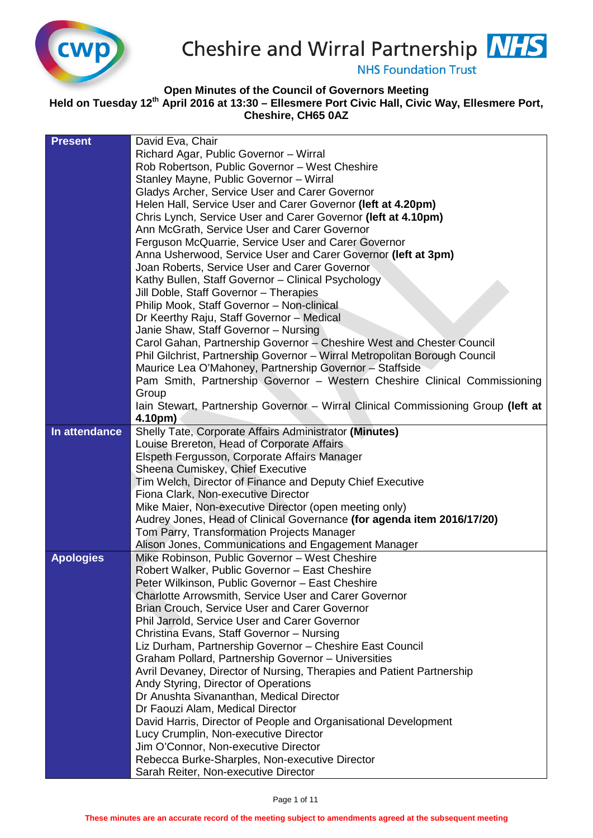

Cheshire and Wirral Partnership NHS

**NHS Foundation Trust** 

## **Open Minutes of the Council of Governors Meeting**

**Held on Tuesday 12th April 2016 at 13:30 – Ellesmere Port Civic Hall, Civic Way, Ellesmere Port, Cheshire, CH65 0AZ**

| <b>Present</b>   | David Eva, Chair                                                                  |
|------------------|-----------------------------------------------------------------------------------|
|                  | Richard Agar, Public Governor - Wirral                                            |
|                  | Rob Robertson, Public Governor - West Cheshire                                    |
|                  | Stanley Mayne, Public Governor - Wirral                                           |
|                  | Gladys Archer, Service User and Carer Governor                                    |
|                  | Helen Hall, Service User and Carer Governor (left at 4.20pm)                      |
|                  | Chris Lynch, Service User and Carer Governor (left at 4.10pm)                     |
|                  | Ann McGrath, Service User and Carer Governor                                      |
|                  | Ferguson McQuarrie, Service User and Carer Governor                               |
|                  | Anna Usherwood, Service User and Carer Governor (left at 3pm)                     |
|                  | Joan Roberts, Service User and Carer Governor                                     |
|                  | Kathy Bullen, Staff Governor - Clinical Psychology                                |
|                  | Jill Doble, Staff Governor - Therapies                                            |
|                  | Philip Mook, Staff Governor - Non-clinical                                        |
|                  | Dr Keerthy Raju, Staff Governor - Medical                                         |
|                  | Janie Shaw, Staff Governor - Nursing                                              |
|                  | Carol Gahan, Partnership Governor - Cheshire West and Chester Council             |
|                  | Phil Gilchrist, Partnership Governor - Wirral Metropolitan Borough Council        |
|                  | Maurice Lea O'Mahoney, Partnership Governor - Staffside                           |
|                  | Pam Smith, Partnership Governor - Western Cheshire Clinical Commissioning         |
|                  | Group                                                                             |
|                  | Iain Stewart, Partnership Governor - Wirral Clinical Commissioning Group (left at |
|                  | 4.10pm)                                                                           |
| In attendance    | Shelly Tate, Corporate Affairs Administrator (Minutes)                            |
|                  | Louise Brereton, Head of Corporate Affairs                                        |
|                  | Elspeth Fergusson, Corporate Affairs Manager                                      |
|                  | Sheena Cumiskey, Chief Executive                                                  |
|                  | Tim Welch, Director of Finance and Deputy Chief Executive                         |
|                  | Fiona Clark, Non-executive Director                                               |
|                  | Mike Maier, Non-executive Director (open meeting only)                            |
|                  | Audrey Jones, Head of Clinical Governance (for agenda item 2016/17/20)            |
|                  | Tom Parry, Transformation Projects Manager                                        |
|                  | Alison Jones, Communications and Engagement Manager                               |
| <b>Apologies</b> | Mike Robinson, Public Governor - West Cheshire                                    |
|                  | Robert Walker, Public Governor - East Cheshire                                    |
|                  | Peter Wilkinson, Public Governor - East Cheshire                                  |
|                  | <b>Charlotte Arrowsmith, Service User and Carer Governor</b>                      |
|                  | Brian Crouch, Service User and Carer Governor                                     |
|                  | Phil Jarrold, Service User and Carer Governor                                     |
|                  | Christina Evans, Staff Governor - Nursing                                         |
|                  | Liz Durham, Partnership Governor - Cheshire East Council                          |
|                  | Graham Pollard, Partnership Governor - Universities                               |
|                  | Avril Devaney, Director of Nursing, Therapies and Patient Partnership             |
|                  | Andy Styring, Director of Operations                                              |
|                  | Dr Anushta Sivananthan, Medical Director                                          |
|                  | Dr Faouzi Alam, Medical Director                                                  |
|                  | David Harris, Director of People and Organisational Development                   |
|                  | Lucy Crumplin, Non-executive Director                                             |
|                  | Jim O'Connor, Non-executive Director                                              |
|                  | Rebecca Burke-Sharples, Non-executive Director                                    |
|                  | Sarah Reiter, Non-executive Director                                              |
|                  |                                                                                   |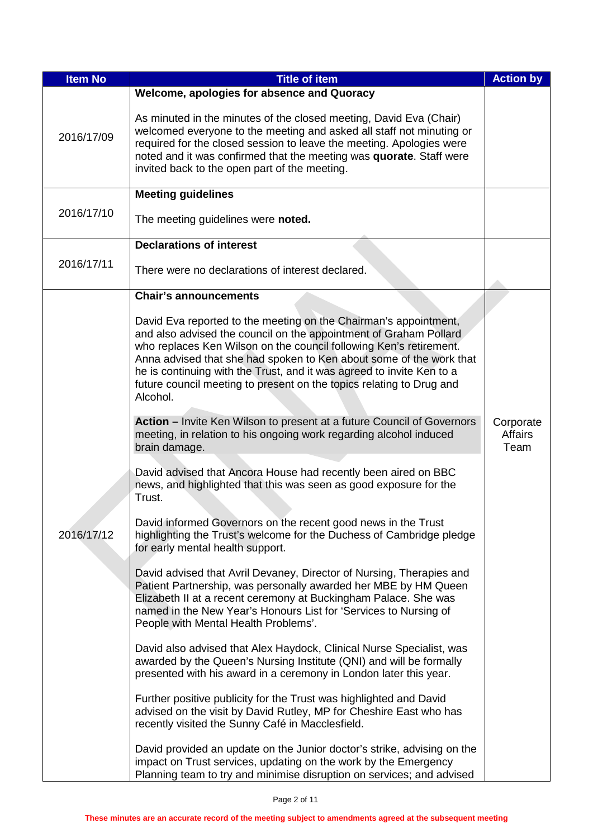| <b>Item No</b> | <b>Title of item</b>                                                                                                                                                                                                                                                                                                                                                                                                                            | <b>Action by</b>                    |
|----------------|-------------------------------------------------------------------------------------------------------------------------------------------------------------------------------------------------------------------------------------------------------------------------------------------------------------------------------------------------------------------------------------------------------------------------------------------------|-------------------------------------|
| 2016/17/09     | Welcome, apologies for absence and Quoracy<br>As minuted in the minutes of the closed meeting, David Eva (Chair)<br>welcomed everyone to the meeting and asked all staff not minuting or<br>required for the closed session to leave the meeting. Apologies were<br>noted and it was confirmed that the meeting was quorate. Staff were<br>invited back to the open part of the meeting.                                                        |                                     |
|                | <b>Meeting guidelines</b>                                                                                                                                                                                                                                                                                                                                                                                                                       |                                     |
| 2016/17/10     | The meeting guidelines were noted.                                                                                                                                                                                                                                                                                                                                                                                                              |                                     |
|                | <b>Declarations of interest</b>                                                                                                                                                                                                                                                                                                                                                                                                                 |                                     |
| 2016/17/11     | There were no declarations of interest declared.                                                                                                                                                                                                                                                                                                                                                                                                |                                     |
|                | <b>Chair's announcements</b>                                                                                                                                                                                                                                                                                                                                                                                                                    |                                     |
|                | David Eva reported to the meeting on the Chairman's appointment,<br>and also advised the council on the appointment of Graham Pollard<br>who replaces Ken Wilson on the council following Ken's retirement.<br>Anna advised that she had spoken to Ken about some of the work that<br>he is continuing with the Trust, and it was agreed to invite Ken to a<br>future council meeting to present on the topics relating to Drug and<br>Alcohol. |                                     |
|                | Action - Invite Ken Wilson to present at a future Council of Governors<br>meeting, in relation to his ongoing work regarding alcohol induced<br>brain damage.                                                                                                                                                                                                                                                                                   | Corporate<br><b>Affairs</b><br>Team |
|                | David advised that Ancora House had recently been aired on BBC<br>news, and highlighted that this was seen as good exposure for the<br>Trust.                                                                                                                                                                                                                                                                                                   |                                     |
| 2016/17/12     | David informed Governors on the recent good news in the Trust<br>highlighting the Trust's welcome for the Duchess of Cambridge pledge<br>for early mental health support.                                                                                                                                                                                                                                                                       |                                     |
|                | David advised that Avril Devaney, Director of Nursing, Therapies and<br>Patient Partnership, was personally awarded her MBE by HM Queen<br>Elizabeth II at a recent ceremony at Buckingham Palace. She was<br>named in the New Year's Honours List for 'Services to Nursing of<br>People with Mental Health Problems'.                                                                                                                          |                                     |
|                | David also advised that Alex Haydock, Clinical Nurse Specialist, was<br>awarded by the Queen's Nursing Institute (QNI) and will be formally<br>presented with his award in a ceremony in London later this year.                                                                                                                                                                                                                                |                                     |
|                | Further positive publicity for the Trust was highlighted and David<br>advised on the visit by David Rutley, MP for Cheshire East who has<br>recently visited the Sunny Café in Macclesfield.                                                                                                                                                                                                                                                    |                                     |
|                | David provided an update on the Junior doctor's strike, advising on the<br>impact on Trust services, updating on the work by the Emergency<br>Planning team to try and minimise disruption on services; and advised                                                                                                                                                                                                                             |                                     |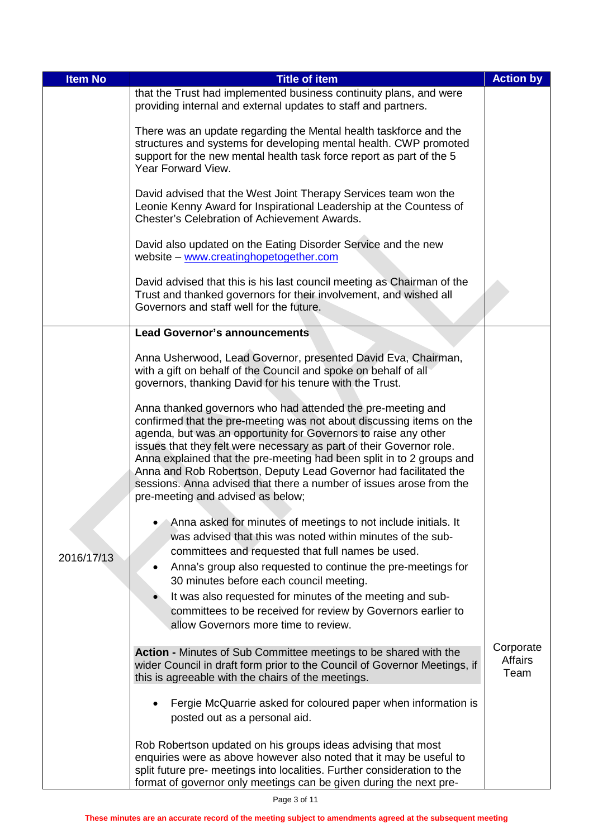| <b>Item No</b> | <b>Title of item</b>                                                                                                                                                                                                                                                                                                                                                                                                                                                                                                                    | <b>Action by</b>                    |
|----------------|-----------------------------------------------------------------------------------------------------------------------------------------------------------------------------------------------------------------------------------------------------------------------------------------------------------------------------------------------------------------------------------------------------------------------------------------------------------------------------------------------------------------------------------------|-------------------------------------|
|                | that the Trust had implemented business continuity plans, and were<br>providing internal and external updates to staff and partners.                                                                                                                                                                                                                                                                                                                                                                                                    |                                     |
|                | There was an update regarding the Mental health taskforce and the<br>structures and systems for developing mental health. CWP promoted<br>support for the new mental health task force report as part of the 5<br>Year Forward View.                                                                                                                                                                                                                                                                                                    |                                     |
|                | David advised that the West Joint Therapy Services team won the<br>Leonie Kenny Award for Inspirational Leadership at the Countess of<br><b>Chester's Celebration of Achievement Awards.</b>                                                                                                                                                                                                                                                                                                                                            |                                     |
|                | David also updated on the Eating Disorder Service and the new<br>website - www.creatinghopetogether.com                                                                                                                                                                                                                                                                                                                                                                                                                                 |                                     |
|                | David advised that this is his last council meeting as Chairman of the<br>Trust and thanked governors for their involvement, and wished all<br>Governors and staff well for the future.                                                                                                                                                                                                                                                                                                                                                 |                                     |
|                | <b>Lead Governor's announcements</b>                                                                                                                                                                                                                                                                                                                                                                                                                                                                                                    |                                     |
|                | Anna Usherwood, Lead Governor, presented David Eva, Chairman,<br>with a gift on behalf of the Council and spoke on behalf of all<br>governors, thanking David for his tenure with the Trust.                                                                                                                                                                                                                                                                                                                                            |                                     |
|                | Anna thanked governors who had attended the pre-meeting and<br>confirmed that the pre-meeting was not about discussing items on the<br>agenda, but was an opportunity for Governors to raise any other<br>issues that they felt were necessary as part of their Governor role.<br>Anna explained that the pre-meeting had been split in to 2 groups and<br>Anna and Rob Robertson, Deputy Lead Governor had facilitated the<br>sessions. Anna advised that there a number of issues arose from the<br>pre-meeting and advised as below; |                                     |
|                | Anna asked for minutes of meetings to not include initials. It<br>was advised that this was noted within minutes of the sub-                                                                                                                                                                                                                                                                                                                                                                                                            |                                     |
| 2016/17/13     | committees and requested that full names be used.                                                                                                                                                                                                                                                                                                                                                                                                                                                                                       |                                     |
|                | Anna's group also requested to continue the pre-meetings for<br>30 minutes before each council meeting.                                                                                                                                                                                                                                                                                                                                                                                                                                 |                                     |
|                | It was also requested for minutes of the meeting and sub-                                                                                                                                                                                                                                                                                                                                                                                                                                                                               |                                     |
|                | committees to be received for review by Governors earlier to                                                                                                                                                                                                                                                                                                                                                                                                                                                                            |                                     |
|                | allow Governors more time to review.                                                                                                                                                                                                                                                                                                                                                                                                                                                                                                    |                                     |
|                | Action - Minutes of Sub Committee meetings to be shared with the<br>wider Council in draft form prior to the Council of Governor Meetings, if<br>this is agreeable with the chairs of the meetings.                                                                                                                                                                                                                                                                                                                                     | Corporate<br><b>Affairs</b><br>Team |
|                |                                                                                                                                                                                                                                                                                                                                                                                                                                                                                                                                         |                                     |
|                | Fergie McQuarrie asked for coloured paper when information is<br>posted out as a personal aid.                                                                                                                                                                                                                                                                                                                                                                                                                                          |                                     |
|                | Rob Robertson updated on his groups ideas advising that most<br>enquiries were as above however also noted that it may be useful to<br>split future pre- meetings into localities. Further consideration to the                                                                                                                                                                                                                                                                                                                         |                                     |
|                | format of governor only meetings can be given during the next pre-                                                                                                                                                                                                                                                                                                                                                                                                                                                                      |                                     |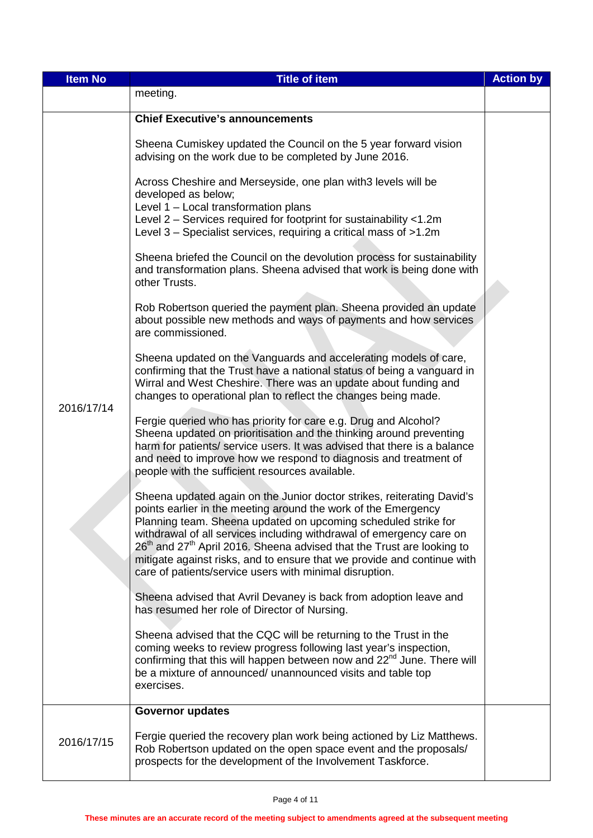| <b>Item No</b> | <b>Title of item</b>                                                                                                                                                                                                                                                                                                                                                                                                                                                                                   | <b>Action by</b> |
|----------------|--------------------------------------------------------------------------------------------------------------------------------------------------------------------------------------------------------------------------------------------------------------------------------------------------------------------------------------------------------------------------------------------------------------------------------------------------------------------------------------------------------|------------------|
|                | meeting.                                                                                                                                                                                                                                                                                                                                                                                                                                                                                               |                  |
|                | <b>Chief Executive's announcements</b>                                                                                                                                                                                                                                                                                                                                                                                                                                                                 |                  |
|                | Sheena Cumiskey updated the Council on the 5 year forward vision<br>advising on the work due to be completed by June 2016.                                                                                                                                                                                                                                                                                                                                                                             |                  |
|                | Across Cheshire and Merseyside, one plan with 3 levels will be<br>developed as below;<br>Level 1 - Local transformation plans<br>Level 2 - Services required for footprint for sustainability <1.2m<br>Level 3 - Specialist services, requiring a critical mass of >1.2m                                                                                                                                                                                                                               |                  |
|                | Sheena briefed the Council on the devolution process for sustainability<br>and transformation plans. Sheena advised that work is being done with<br>other Trusts.                                                                                                                                                                                                                                                                                                                                      |                  |
|                | Rob Robertson queried the payment plan. Sheena provided an update<br>about possible new methods and ways of payments and how services<br>are commissioned.                                                                                                                                                                                                                                                                                                                                             |                  |
|                | Sheena updated on the Vanguards and accelerating models of care,<br>confirming that the Trust have a national status of being a vanguard in<br>Wirral and West Cheshire. There was an update about funding and<br>changes to operational plan to reflect the changes being made.                                                                                                                                                                                                                       |                  |
| 2016/17/14     | Fergie queried who has priority for care e.g. Drug and Alcohol?<br>Sheena updated on prioritisation and the thinking around preventing<br>harm for patients/ service users. It was advised that there is a balance<br>and need to improve how we respond to diagnosis and treatment of<br>people with the sufficient resources available.                                                                                                                                                              |                  |
|                | Sheena updated again on the Junior doctor strikes, reiterating David's<br>points earlier in the meeting around the work of the Emergency<br>Planning team. Sheena updated on upcoming scheduled strike for<br>withdrawal of all services including withdrawal of emergency care on<br>$26th$ and $27th$ April 2016. Sheena advised that the Trust are looking to<br>mitigate against risks, and to ensure that we provide and continue with<br>care of patients/service users with minimal disruption. |                  |
|                | Sheena advised that Avril Devaney is back from adoption leave and<br>has resumed her role of Director of Nursing.                                                                                                                                                                                                                                                                                                                                                                                      |                  |
|                | Sheena advised that the CQC will be returning to the Trust in the<br>coming weeks to review progress following last year's inspection,<br>confirming that this will happen between now and 22 <sup>nd</sup> June. There will<br>be a mixture of announced/ unannounced visits and table top<br>exercises.                                                                                                                                                                                              |                  |
|                | <b>Governor updates</b>                                                                                                                                                                                                                                                                                                                                                                                                                                                                                |                  |
| 2016/17/15     | Fergie queried the recovery plan work being actioned by Liz Matthews.<br>Rob Robertson updated on the open space event and the proposals/<br>prospects for the development of the Involvement Taskforce.                                                                                                                                                                                                                                                                                               |                  |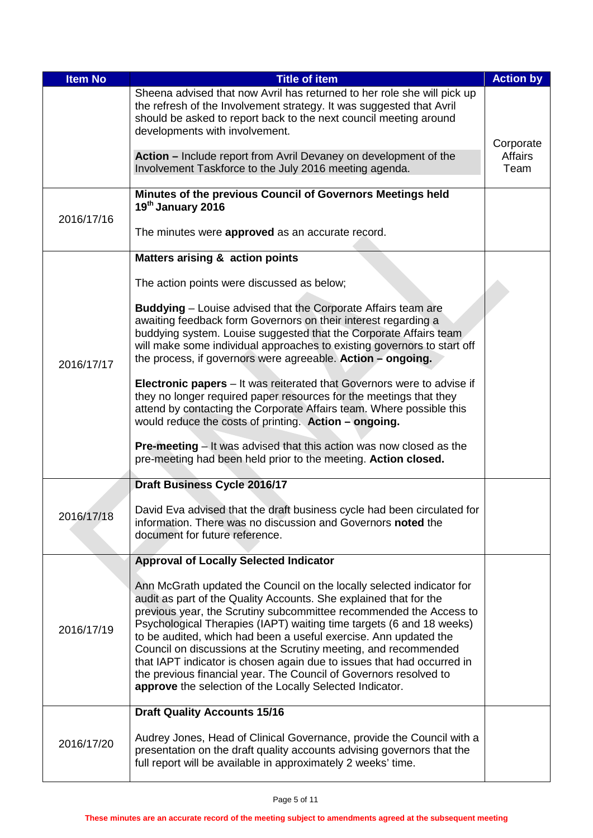| <b>Item No</b> | <b>Title of item</b>                                                                                                                                                                                                                                                                                                                                                                                                                                                                                                                                                                                                                       | <b>Action by</b>                    |
|----------------|--------------------------------------------------------------------------------------------------------------------------------------------------------------------------------------------------------------------------------------------------------------------------------------------------------------------------------------------------------------------------------------------------------------------------------------------------------------------------------------------------------------------------------------------------------------------------------------------------------------------------------------------|-------------------------------------|
|                | Sheena advised that now Avril has returned to her role she will pick up<br>the refresh of the Involvement strategy. It was suggested that Avril<br>should be asked to report back to the next council meeting around<br>developments with involvement.                                                                                                                                                                                                                                                                                                                                                                                     |                                     |
|                | Action – Include report from Avril Devaney on development of the<br>Involvement Taskforce to the July 2016 meeting agenda.                                                                                                                                                                                                                                                                                                                                                                                                                                                                                                                 | Corporate<br><b>Affairs</b><br>Team |
| 2016/17/16     | Minutes of the previous Council of Governors Meetings held<br>19 <sup>th</sup> January 2016                                                                                                                                                                                                                                                                                                                                                                                                                                                                                                                                                |                                     |
|                | The minutes were approved as an accurate record.                                                                                                                                                                                                                                                                                                                                                                                                                                                                                                                                                                                           |                                     |
|                | <b>Matters arising &amp; action points</b>                                                                                                                                                                                                                                                                                                                                                                                                                                                                                                                                                                                                 |                                     |
|                | The action points were discussed as below;                                                                                                                                                                                                                                                                                                                                                                                                                                                                                                                                                                                                 |                                     |
| 2016/17/17     | <b>Buddying</b> - Louise advised that the Corporate Affairs team are<br>awaiting feedback form Governors on their interest regarding a<br>buddying system. Louise suggested that the Corporate Affairs team<br>will make some individual approaches to existing governors to start off<br>the process, if governors were agreeable. Action - ongoing.                                                                                                                                                                                                                                                                                      |                                     |
|                | <b>Electronic papers</b> – It was reiterated that Governors were to advise if<br>they no longer required paper resources for the meetings that they<br>attend by contacting the Corporate Affairs team. Where possible this<br>would reduce the costs of printing. Action - ongoing.                                                                                                                                                                                                                                                                                                                                                       |                                     |
|                | <b>Pre-meeting</b> $-$ It was advised that this action was now closed as the<br>pre-meeting had been held prior to the meeting. Action closed.                                                                                                                                                                                                                                                                                                                                                                                                                                                                                             |                                     |
|                | Draft Business Cycle 2016/17                                                                                                                                                                                                                                                                                                                                                                                                                                                                                                                                                                                                               |                                     |
| 2016/17/18     | David Eva advised that the draft business cycle had been circulated for<br>information. There was no discussion and Governors noted the<br>document for future reference.                                                                                                                                                                                                                                                                                                                                                                                                                                                                  |                                     |
|                | <b>Approval of Locally Selected Indicator</b>                                                                                                                                                                                                                                                                                                                                                                                                                                                                                                                                                                                              |                                     |
| 2016/17/19     | Ann McGrath updated the Council on the locally selected indicator for<br>audit as part of the Quality Accounts. She explained that for the<br>previous year, the Scrutiny subcommittee recommended the Access to<br>Psychological Therapies (IAPT) waiting time targets (6 and 18 weeks)<br>to be audited, which had been a useful exercise. Ann updated the<br>Council on discussions at the Scrutiny meeting, and recommended<br>that IAPT indicator is chosen again due to issues that had occurred in<br>the previous financial year. The Council of Governors resolved to<br>approve the selection of the Locally Selected Indicator. |                                     |
|                | <b>Draft Quality Accounts 15/16</b>                                                                                                                                                                                                                                                                                                                                                                                                                                                                                                                                                                                                        |                                     |
| 2016/17/20     | Audrey Jones, Head of Clinical Governance, provide the Council with a<br>presentation on the draft quality accounts advising governors that the<br>full report will be available in approximately 2 weeks' time.                                                                                                                                                                                                                                                                                                                                                                                                                           |                                     |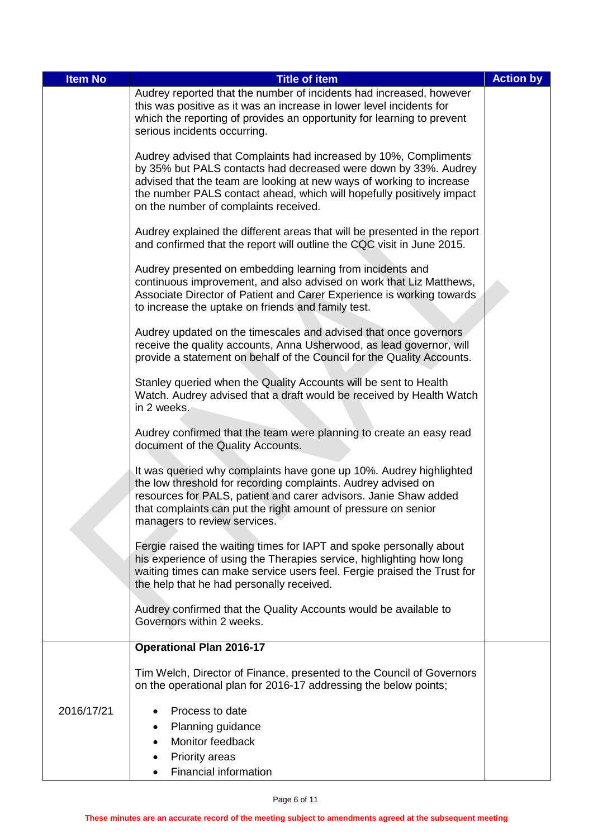| <b>Item No</b> | <b>Title of item</b>                                                                                                                                                                                                                                                                                                          | <b>Action by</b> |
|----------------|-------------------------------------------------------------------------------------------------------------------------------------------------------------------------------------------------------------------------------------------------------------------------------------------------------------------------------|------------------|
|                | Audrey reported that the number of incidents had increased, however<br>this was positive as it was an increase in lower level incidents for<br>which the reporting of provides an opportunity for learning to prevent<br>serious incidents occurring.                                                                         |                  |
|                | Audrey advised that Complaints had increased by 10%, Compliments<br>by 35% but PALS contacts had decreased were down by 33%. Audrey<br>advised that the team are looking at new ways of working to increase<br>the number PALS contact ahead, which will hopefully positively impact<br>on the number of complaints received. |                  |
|                | Audrey explained the different areas that will be presented in the report<br>and confirmed that the report will outline the CQC visit in June 2015.                                                                                                                                                                           |                  |
|                | Audrey presented on embedding learning from incidents and<br>continuous improvement, and also advised on work that Liz Matthews,<br>Associate Director of Patient and Carer Experience is working towards<br>to increase the uptake on friends and family test.                                                               |                  |
|                | Audrey updated on the timescales and advised that once governors<br>receive the quality accounts, Anna Usherwood, as lead governor, will<br>provide a statement on behalf of the Council for the Quality Accounts.                                                                                                            |                  |
|                | Stanley queried when the Quality Accounts will be sent to Health<br>Watch. Audrey advised that a draft would be received by Health Watch<br>in 2 weeks.                                                                                                                                                                       |                  |
|                | Audrey confirmed that the team were planning to create an easy read<br>document of the Quality Accounts.                                                                                                                                                                                                                      |                  |
|                | It was queried why complaints have gone up 10%. Audrey highlighted<br>the low threshold for recording complaints. Audrey advised on<br>resources for PALS, patient and carer advisors. Janie Shaw added<br>that complaints can put the right amount of pressure on senior<br>managers to review services.                     |                  |
|                | Fergie raised the waiting times for IAPT and spoke personally about<br>his experience of using the Therapies service, highlighting how long<br>waiting times can make service users feel. Fergie praised the Trust for<br>the help that he had personally received.                                                           |                  |
|                | Audrey confirmed that the Quality Accounts would be available to<br>Governors within 2 weeks.                                                                                                                                                                                                                                 |                  |
|                | <b>Operational Plan 2016-17</b>                                                                                                                                                                                                                                                                                               |                  |
|                | Tim Welch, Director of Finance, presented to the Council of Governors<br>on the operational plan for 2016-17 addressing the below points;                                                                                                                                                                                     |                  |
| 2016/17/21     | Process to date<br>Planning guidance<br>٠<br>Monitor feedback<br><b>Priority areas</b><br>Financial information                                                                                                                                                                                                               |                  |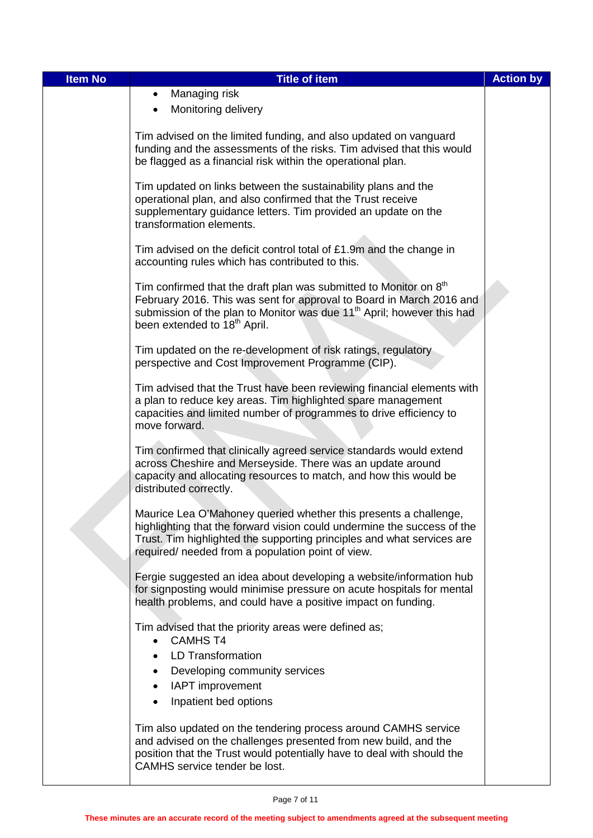| <b>Item No</b> | <b>Title of item</b>                                                                                                                              | <b>Action by</b> |
|----------------|---------------------------------------------------------------------------------------------------------------------------------------------------|------------------|
|                | Managing risk<br>٠                                                                                                                                |                  |
|                | Monitoring delivery                                                                                                                               |                  |
|                |                                                                                                                                                   |                  |
|                | Tim advised on the limited funding, and also updated on vanguard                                                                                  |                  |
|                | funding and the assessments of the risks. Tim advised that this would<br>be flagged as a financial risk within the operational plan.              |                  |
|                |                                                                                                                                                   |                  |
|                | Tim updated on links between the sustainability plans and the                                                                                     |                  |
|                | operational plan, and also confirmed that the Trust receive<br>supplementary guidance letters. Tim provided an update on the                      |                  |
|                | transformation elements.                                                                                                                          |                  |
|                |                                                                                                                                                   |                  |
|                | Tim advised on the deficit control total of £1.9m and the change in                                                                               |                  |
|                | accounting rules which has contributed to this.                                                                                                   |                  |
|                | Tim confirmed that the draft plan was submitted to Monitor on 8 <sup>th</sup>                                                                     |                  |
|                | February 2016. This was sent for approval to Board in March 2016 and                                                                              |                  |
|                | submission of the plan to Monitor was due 11 <sup>th</sup> April; however this had<br>been extended to 18 <sup>th</sup> April.                    |                  |
|                |                                                                                                                                                   |                  |
|                | Tim updated on the re-development of risk ratings, regulatory                                                                                     |                  |
|                | perspective and Cost Improvement Programme (CIP).                                                                                                 |                  |
|                | Tim advised that the Trust have been reviewing financial elements with                                                                            |                  |
|                | a plan to reduce key areas. Tim highlighted spare management                                                                                      |                  |
|                | capacities and limited number of programmes to drive efficiency to                                                                                |                  |
|                | move forward.                                                                                                                                     |                  |
|                | Tim confirmed that clinically agreed service standards would extend                                                                               |                  |
|                | across Cheshire and Merseyside. There was an update around                                                                                        |                  |
|                | capacity and allocating resources to match, and how this would be<br>distributed correctly.                                                       |                  |
|                |                                                                                                                                                   |                  |
|                | Maurice Lea O'Mahoney queried whether this presents a challenge                                                                                   |                  |
|                | highlighting that the forward vision could undermine the success of the<br>Trust. Tim highlighted the supporting principles and what services are |                  |
|                | required/ needed from a population point of view.                                                                                                 |                  |
|                |                                                                                                                                                   |                  |
|                | Fergie suggested an idea about developing a website/information hub                                                                               |                  |
|                | for signposting would minimise pressure on acute hospitals for mental<br>health problems, and could have a positive impact on funding.            |                  |
|                |                                                                                                                                                   |                  |
|                | Tim advised that the priority areas were defined as;                                                                                              |                  |
|                | <b>CAMHS T4</b>                                                                                                                                   |                  |
|                | <b>LD Transformation</b>                                                                                                                          |                  |
|                | Developing community services<br>IAPT improvement<br>$\bullet$                                                                                    |                  |
|                | Inpatient bed options                                                                                                                             |                  |
|                |                                                                                                                                                   |                  |
|                | Tim also updated on the tendering process around CAMHS service                                                                                    |                  |
|                | and advised on the challenges presented from new build, and the<br>position that the Trust would potentially have to deal with should the         |                  |
|                | CAMHS service tender be lost.                                                                                                                     |                  |
|                |                                                                                                                                                   |                  |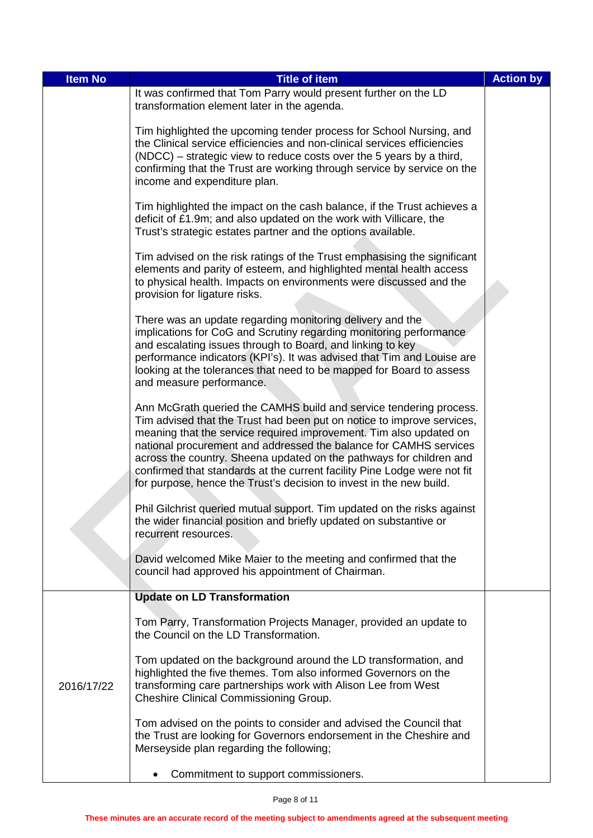| <b>Item No</b> | <b>Title of item</b>                                                                                                                                                                                                                                                                                                                                                                                                                                                                                              | <b>Action by</b> |
|----------------|-------------------------------------------------------------------------------------------------------------------------------------------------------------------------------------------------------------------------------------------------------------------------------------------------------------------------------------------------------------------------------------------------------------------------------------------------------------------------------------------------------------------|------------------|
|                | It was confirmed that Tom Parry would present further on the LD<br>transformation element later in the agenda.                                                                                                                                                                                                                                                                                                                                                                                                    |                  |
|                | Tim highlighted the upcoming tender process for School Nursing, and<br>the Clinical service efficiencies and non-clinical services efficiencies<br>(NDCC) – strategic view to reduce costs over the 5 years by a third,<br>confirming that the Trust are working through service by service on the<br>income and expenditure plan.                                                                                                                                                                                |                  |
|                | Tim highlighted the impact on the cash balance, if the Trust achieves a<br>deficit of £1.9m; and also updated on the work with Villicare, the<br>Trust's strategic estates partner and the options available.                                                                                                                                                                                                                                                                                                     |                  |
|                | Tim advised on the risk ratings of the Trust emphasising the significant<br>elements and parity of esteem, and highlighted mental health access<br>to physical health. Impacts on environments were discussed and the<br>provision for ligature risks.                                                                                                                                                                                                                                                            |                  |
|                | There was an update regarding monitoring delivery and the<br>implications for CoG and Scrutiny regarding monitoring performance<br>and escalating issues through to Board, and linking to key<br>performance indicators (KPI's). It was advised that Tim and Louise are<br>looking at the tolerances that need to be mapped for Board to assess<br>and measure performance.                                                                                                                                       |                  |
|                | Ann McGrath queried the CAMHS build and service tendering process.<br>Tim advised that the Trust had been put on notice to improve services,<br>meaning that the service required improvement. Tim also updated on<br>national procurement and addressed the balance for CAMHS services<br>across the country. Sheena updated on the pathways for children and<br>confirmed that standards at the current facility Pine Lodge were not fit<br>for purpose, hence the Trust's decision to invest in the new build. |                  |
|                | Phil Gilchrist queried mutual support. Tim updated on the risks against<br>the wider financial position and briefly updated on substantive or<br>recurrent resources.                                                                                                                                                                                                                                                                                                                                             |                  |
|                | David welcomed Mike Maier to the meeting and confirmed that the<br>council had approved his appointment of Chairman.                                                                                                                                                                                                                                                                                                                                                                                              |                  |
|                | <b>Update on LD Transformation</b>                                                                                                                                                                                                                                                                                                                                                                                                                                                                                |                  |
|                | Tom Parry, Transformation Projects Manager, provided an update to<br>the Council on the LD Transformation.                                                                                                                                                                                                                                                                                                                                                                                                        |                  |
| 2016/17/22     | Tom updated on the background around the LD transformation, and<br>highlighted the five themes. Tom also informed Governors on the<br>transforming care partnerships work with Alison Lee from West<br>Cheshire Clinical Commissioning Group.                                                                                                                                                                                                                                                                     |                  |
|                | Tom advised on the points to consider and advised the Council that<br>the Trust are looking for Governors endorsement in the Cheshire and<br>Merseyside plan regarding the following;                                                                                                                                                                                                                                                                                                                             |                  |
|                | Commitment to support commissioners.<br>٠                                                                                                                                                                                                                                                                                                                                                                                                                                                                         |                  |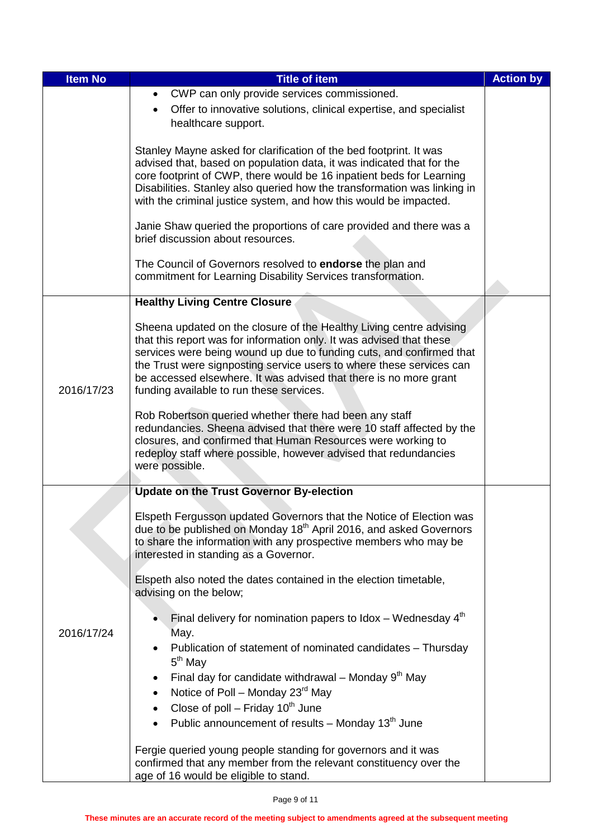| <b>Item No</b> | <b>Title of item</b>                                                                                                             | <b>Action by</b> |
|----------------|----------------------------------------------------------------------------------------------------------------------------------|------------------|
|                | CWP can only provide services commissioned.<br>$\bullet$                                                                         |                  |
|                | Offer to innovative solutions, clinical expertise, and specialist                                                                |                  |
|                | healthcare support.                                                                                                              |                  |
|                | Stanley Mayne asked for clarification of the bed footprint. It was                                                               |                  |
|                | advised that, based on population data, it was indicated that for the                                                            |                  |
|                | core footprint of CWP, there would be 16 inpatient beds for Learning                                                             |                  |
|                | Disabilities. Stanley also queried how the transformation was linking in                                                         |                  |
|                | with the criminal justice system, and how this would be impacted.                                                                |                  |
|                | Janie Shaw queried the proportions of care provided and there was a                                                              |                  |
|                | brief discussion about resources.                                                                                                |                  |
|                |                                                                                                                                  |                  |
|                | The Council of Governors resolved to <b>endorse</b> the plan and<br>commitment for Learning Disability Services transformation.  |                  |
|                |                                                                                                                                  |                  |
|                | <b>Healthy Living Centre Closure</b>                                                                                             |                  |
|                | Sheena updated on the closure of the Healthy Living centre advising                                                              |                  |
|                | that this report was for information only. It was advised that these                                                             |                  |
|                | services were being wound up due to funding cuts, and confirmed that                                                             |                  |
|                | the Trust were signposting service users to where these services can                                                             |                  |
| 2016/17/23     | be accessed elsewhere. It was advised that there is no more grant                                                                |                  |
|                | funding available to run these services.                                                                                         |                  |
|                | Rob Robertson queried whether there had been any staff                                                                           |                  |
|                | redundancies. Sheena advised that there were 10 staff affected by the                                                            |                  |
|                | closures, and confirmed that Human Resources were working to<br>redeploy staff where possible, however advised that redundancies |                  |
|                | were possible.                                                                                                                   |                  |
|                |                                                                                                                                  |                  |
|                | <b>Update on the Trust Governor By-election</b>                                                                                  |                  |
|                | Elspeth Fergusson updated Governors that the Notice of Election was                                                              |                  |
|                | due to be published on Monday 18 <sup>th</sup> April 2016, and asked Governors                                                   |                  |
|                | to share the information with any prospective members who may be                                                                 |                  |
|                | interested in standing as a Governor.                                                                                            |                  |
|                | Elspeth also noted the dates contained in the election timetable,                                                                |                  |
|                | advising on the below;                                                                                                           |                  |
|                |                                                                                                                                  |                  |
| 2016/17/24     | Final delivery for nomination papers to Idox – Wednesday $4th$<br>May.                                                           |                  |
|                | Publication of statement of nominated candidates - Thursday                                                                      |                  |
|                | $5th$ May                                                                                                                        |                  |
|                | Final day for candidate withdrawal – Monday $9th$ May                                                                            |                  |
|                | Notice of Poll - Monday 23rd May                                                                                                 |                  |
|                | Close of poll – Friday $10^{th}$ June                                                                                            |                  |
|                | Public announcement of results – Monday $13th$ June                                                                              |                  |
|                |                                                                                                                                  |                  |
|                | Fergie queried young people standing for governors and it was                                                                    |                  |
|                | confirmed that any member from the relevant constituency over the<br>age of 16 would be eligible to stand.                       |                  |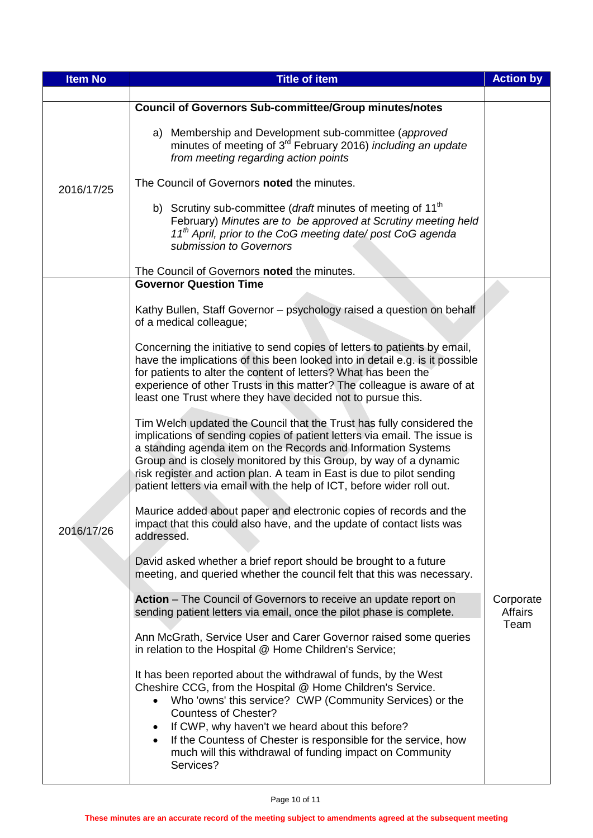| <b>Item No</b> | <b>Title of item</b>                                                                                                                                                                                                                                                                                                                                                                                                                             | <b>Action by</b>             |
|----------------|--------------------------------------------------------------------------------------------------------------------------------------------------------------------------------------------------------------------------------------------------------------------------------------------------------------------------------------------------------------------------------------------------------------------------------------------------|------------------------------|
|                |                                                                                                                                                                                                                                                                                                                                                                                                                                                  |                              |
| 2016/17/25     | <b>Council of Governors Sub-committee/Group minutes/notes</b>                                                                                                                                                                                                                                                                                                                                                                                    |                              |
|                | a) Membership and Development sub-committee (approved<br>minutes of meeting of 3 <sup>rd</sup> February 2016) <i>including an update</i><br>from meeting regarding action points                                                                                                                                                                                                                                                                 |                              |
|                | The Council of Governors noted the minutes.                                                                                                                                                                                                                                                                                                                                                                                                      |                              |
|                | b) Scrutiny sub-committee ( <i>draft</i> minutes of meeting of 11 <sup>th</sup><br>February) Minutes are to be approved at Scrutiny meeting held<br>11 <sup>th</sup> April, prior to the CoG meeting date/ post CoG agenda<br>submission to Governors                                                                                                                                                                                            |                              |
|                | The Council of Governors noted the minutes.<br><b>Governor Question Time</b>                                                                                                                                                                                                                                                                                                                                                                     |                              |
|                |                                                                                                                                                                                                                                                                                                                                                                                                                                                  |                              |
|                | Kathy Bullen, Staff Governor - psychology raised a question on behalf<br>of a medical colleague;                                                                                                                                                                                                                                                                                                                                                 |                              |
|                | Concerning the initiative to send copies of letters to patients by email,<br>have the implications of this been looked into in detail e.g. is it possible<br>for patients to alter the content of letters? What has been the<br>experience of other Trusts in this matter? The colleague is aware of at<br>least one Trust where they have decided not to pursue this.                                                                           |                              |
|                | Tim Welch updated the Council that the Trust has fully considered the<br>implications of sending copies of patient letters via email. The issue is<br>a standing agenda item on the Records and Information Systems<br>Group and is closely monitored by this Group, by way of a dynamic<br>risk register and action plan. A team in East is due to pilot sending<br>patient letters via email with the help of ICT, before wider roll out.      |                              |
| 2016/17/26     | Maurice added about paper and electronic copies of records and the<br>impact that this could also have, and the update of contact lists was<br>addressed.                                                                                                                                                                                                                                                                                        |                              |
|                | David asked whether a brief report should be brought to a future<br>meeting, and queried whether the council felt that this was necessary.                                                                                                                                                                                                                                                                                                       |                              |
|                | Action - The Council of Governors to receive an update report on<br>sending patient letters via email, once the pilot phase is complete.                                                                                                                                                                                                                                                                                                         | Corporate<br>Affairs<br>Team |
|                | Ann McGrath, Service User and Carer Governor raised some queries<br>in relation to the Hospital @ Home Children's Service;                                                                                                                                                                                                                                                                                                                       |                              |
|                | It has been reported about the withdrawal of funds, by the West<br>Cheshire CCG, from the Hospital @ Home Children's Service.<br>Who 'owns' this service? CWP (Community Services) or the<br>$\bullet$<br><b>Countess of Chester?</b><br>If CWP, why haven't we heard about this before?<br>If the Countess of Chester is responsible for the service, how<br>$\bullet$<br>much will this withdrawal of funding impact on Community<br>Services? |                              |